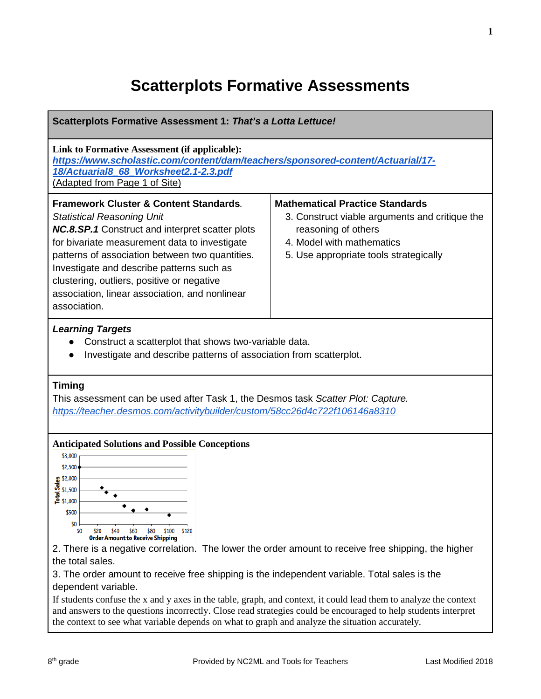### **Scatterplots Formative Assessments**

| Scatterplots Formative Assessment 1: That's a Lotta Lettuce!                                                                                                                                                                                                                                                                                                                                                                                                                                                                                                                                                                                                                                                                           |                                                                                                                                                                                        |  |  |  |  |  |
|----------------------------------------------------------------------------------------------------------------------------------------------------------------------------------------------------------------------------------------------------------------------------------------------------------------------------------------------------------------------------------------------------------------------------------------------------------------------------------------------------------------------------------------------------------------------------------------------------------------------------------------------------------------------------------------------------------------------------------------|----------------------------------------------------------------------------------------------------------------------------------------------------------------------------------------|--|--|--|--|--|
| Link to Formative Assessment (if applicable):<br>https://www.scholastic.com/content/dam/teachers/sponsored-content/Actuarial/17-<br>18/Actuarial8_68_Worksheet2.1-2.3.pdf<br>(Adapted from Page 1 of Site)                                                                                                                                                                                                                                                                                                                                                                                                                                                                                                                             |                                                                                                                                                                                        |  |  |  |  |  |
| <b>Framework Cluster &amp; Content Standards.</b><br><b>Statistical Reasoning Unit</b><br>NC.8.SP.1 Construct and interpret scatter plots<br>for bivariate measurement data to investigate<br>patterns of association between two quantities.<br>Investigate and describe patterns such as<br>clustering, outliers, positive or negative<br>association, linear association, and nonlinear<br>association.                                                                                                                                                                                                                                                                                                                             | <b>Mathematical Practice Standards</b><br>3. Construct viable arguments and critique the<br>reasoning of others<br>4. Model with mathematics<br>5. Use appropriate tools strategically |  |  |  |  |  |
| <b>Learning Targets</b><br>Construct a scatterplot that shows two-variable data.<br>Investigate and describe patterns of association from scatterplot.                                                                                                                                                                                                                                                                                                                                                                                                                                                                                                                                                                                 |                                                                                                                                                                                        |  |  |  |  |  |
| <b>Timing</b><br>This assessment can be used after Task 1, the Desmos task Scatter Plot: Capture.<br>https://teacher.desmos.com/activitybuilder/custom/58cc26d4c722f106146a8310                                                                                                                                                                                                                                                                                                                                                                                                                                                                                                                                                        |                                                                                                                                                                                        |  |  |  |  |  |
| <b>Anticipated Solutions and Possible Conceptions</b><br>\$3,000<br>\$2,500<br>$\frac{9}{5}$ \$2,000<br>\$1,500<br>흐 \$1,000<br>\$500<br>\$0<br>\$120<br>50<br>\$60<br><b>\$80</b><br>\$20<br>\$100<br><b>Order Amount to Receive Shipping</b><br>2. There is a negative correlation. The lower the order amount to receive free shipping, the higher<br>the total sales.<br>3. The order amount to receive free shipping is the independent variable. Total sales is the<br>dependent variable.<br>If students confuse the x and y axes in the table, graph, and context, it could lead them to analyze the context<br>and answers to the questions incorrectly. Close read strategies could be encouraged to help students interpret |                                                                                                                                                                                        |  |  |  |  |  |

the context to see what variable depends on what to graph and analyze the situation accurately.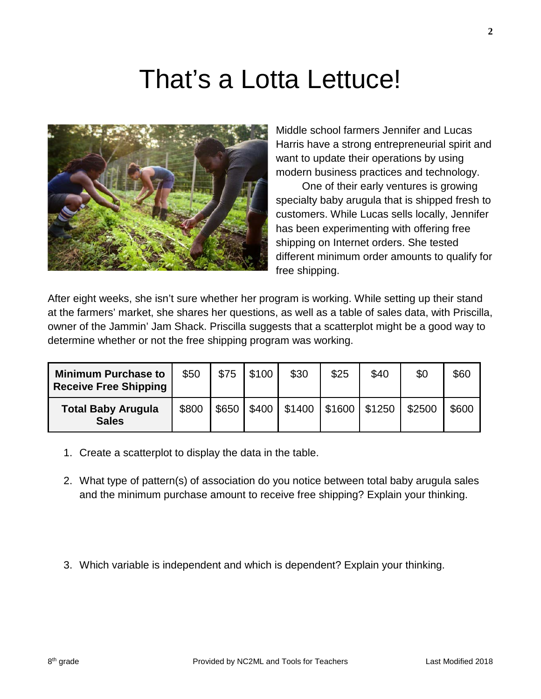## That's a Lotta Lettuce!



Middle school farmers Jennifer and Lucas Harris have a strong entrepreneurial spirit and want to update their operations by using modern business practices and technology.

One of their early ventures is growing specialty baby arugula that is shipped fresh to customers. While Lucas sells locally, Jennifer has been experimenting with offering free shipping on Internet orders. She tested different minimum order amounts to qualify for free shipping.

After eight weeks, she isn't sure whether her program is working. While setting up their stand at the farmers' market, she shares her questions, as well as a table of sales data, with Priscilla, owner of the Jammin' Jam Shack. Priscilla suggests that a scatterplot might be a good way to determine whether or not the free shipping program was working.

| <b>Minimum Purchase to</b><br><b>Receive Free Shipping</b> | \$50  | \$75  | \$100 | \$30   | \$25            | \$40 | \$0    | \$60  |
|------------------------------------------------------------|-------|-------|-------|--------|-----------------|------|--------|-------|
| <b>Total Baby Arugula</b><br><b>Sales</b>                  | \$800 | \$650 | \$400 | \$1400 | $$1600$ $$1250$ |      | \$2500 | \$600 |

- 1. Create a scatterplot to display the data in the table.
- 2. What type of pattern(s) of association do you notice between total baby arugula sales and the minimum purchase amount to receive free shipping? Explain your thinking.
- 3. Which variable is independent and which is dependent? Explain your thinking.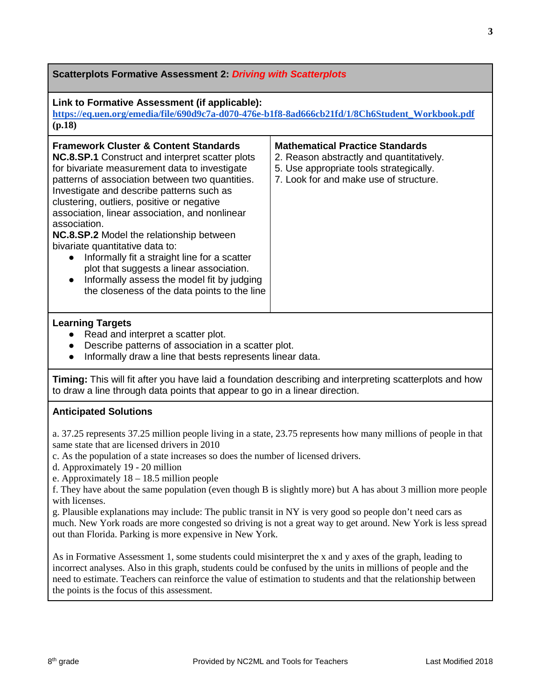| <b>Scatterplots Formative Assessment 2. Driving with Scatterplots</b>                                                                                                                                                                                                                                                                                                                                                                                                                                                                                                                                                                                                    |                                                                                                                                                                         |  |  |  |  |  |
|--------------------------------------------------------------------------------------------------------------------------------------------------------------------------------------------------------------------------------------------------------------------------------------------------------------------------------------------------------------------------------------------------------------------------------------------------------------------------------------------------------------------------------------------------------------------------------------------------------------------------------------------------------------------------|-------------------------------------------------------------------------------------------------------------------------------------------------------------------------|--|--|--|--|--|
| Link to Formative Assessment (if applicable):<br>https://eq.uen.org/emedia/file/690d9c7a-d070-476e-b1f8-8ad666cb21fd/1/8Ch6Student_Workbook.pdf<br>(p.18)                                                                                                                                                                                                                                                                                                                                                                                                                                                                                                                |                                                                                                                                                                         |  |  |  |  |  |
| <b>Framework Cluster &amp; Content Standards</b><br><b>NC.8.SP.1</b> Construct and interpret scatter plots<br>for bivariate measurement data to investigate<br>patterns of association between two quantities.<br>Investigate and describe patterns such as<br>clustering, outliers, positive or negative<br>association, linear association, and nonlinear<br>association.<br><b>NC.8.SP.2</b> Model the relationship between<br>bivariate quantitative data to:<br>Informally fit a straight line for a scatter<br>plot that suggests a linear association.<br>Informally assess the model fit by judging<br>$\bullet$<br>the closeness of the data points to the line | <b>Mathematical Practice Standards</b><br>2. Reason abstractly and quantitatively.<br>5. Use appropriate tools strategically.<br>7. Look for and make use of structure. |  |  |  |  |  |
| <b>Learning Targets</b>                                                                                                                                                                                                                                                                                                                                                                                                                                                                                                                                                                                                                                                  |                                                                                                                                                                         |  |  |  |  |  |

- Read and interpret a scatter plot.
- Describe patterns of association in a scatter plot.
- Informally draw a line that bests represents linear data.

**Timing:** This will fit after you have laid a foundation describing and interpreting scatterplots and how to draw a line through data points that appear to go in a linear direction.

#### **Anticipated Solutions**

a. 37.25 represents 37.25 million people living in a state, 23.75 represents how many millions of people in that same state that are licensed drivers in 2010

- c. As the population of a state increases so does the number of licensed drivers.
- d. Approximately 19 20 million
- e. Approximately 18 18.5 million people

f. They have about the same population (even though B is slightly more) but A has about 3 million more people with licenses.

g. Plausible explanations may include: The public transit in NY is very good so people don't need cars as much. New York roads are more congested so driving is not a great way to get around. New York is less spread out than Florida. Parking is more expensive in New York.

As in Formative Assessment 1, some students could misinterpret the x and y axes of the graph, leading to incorrect analyses. Also in this graph, students could be confused by the units in millions of people and the need to estimate. Teachers can reinforce the value of estimation to students and that the relationship between the points is the focus of this assessment.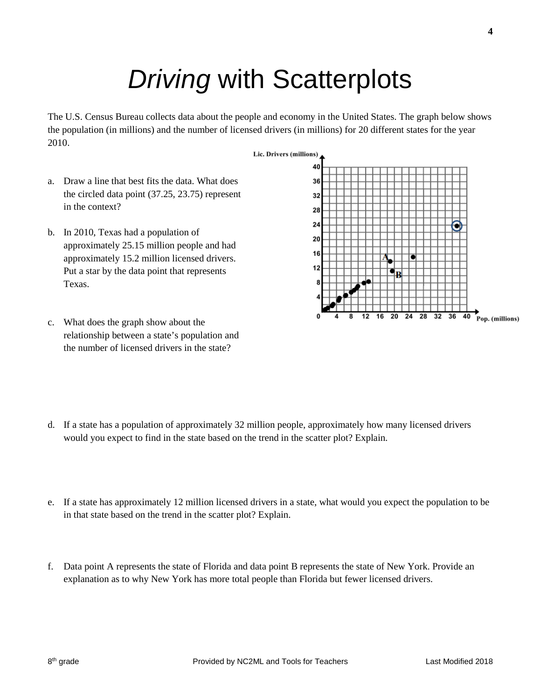# *Driving* with Scatterplots

The U.S. Census Bureau collects data about the people and economy in the United States. The graph below shows the population (in millions) and the number of licensed drivers (in millions) for 20 different states for the year 2010.

- a. Draw a line that best fits the data. What does the circled data point (37.25, 23.75) represent in the context?
- b. In 2010, Texas had a population of approximately 25.15 million people and had approximately 15.2 million licensed drivers. Put a star by the data point that represents Texas.



- c. What does the graph show about the relationship between a state's population and the number of licensed drivers in the state?
- d. If a state has a population of approximately 32 million people, approximately how many licensed drivers would you expect to find in the state based on the trend in the scatter plot? Explain.
- e. If a state has approximately 12 million licensed drivers in a state, what would you expect the population to be in that state based on the trend in the scatter plot? Explain.
- f. Data point A represents the state of Florida and data point B represents the state of New York. Provide an explanation as to why New York has more total people than Florida but fewer licensed drivers.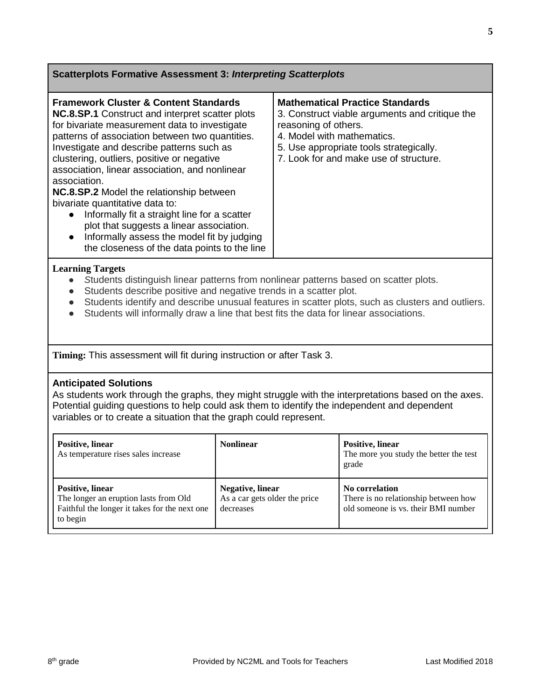| <b>Scatterplots Formative Assessment 3: Interpreting Scatterplots</b>                                                                                                                                                                                                                                                                                                                                                                                                                                                                                                                                                                                                   |                                                                        |                                                                                                                                                                                                                                     |                                                                                               |  |  |  |  |
|-------------------------------------------------------------------------------------------------------------------------------------------------------------------------------------------------------------------------------------------------------------------------------------------------------------------------------------------------------------------------------------------------------------------------------------------------------------------------------------------------------------------------------------------------------------------------------------------------------------------------------------------------------------------------|------------------------------------------------------------------------|-------------------------------------------------------------------------------------------------------------------------------------------------------------------------------------------------------------------------------------|-----------------------------------------------------------------------------------------------|--|--|--|--|
|                                                                                                                                                                                                                                                                                                                                                                                                                                                                                                                                                                                                                                                                         |                                                                        |                                                                                                                                                                                                                                     |                                                                                               |  |  |  |  |
| <b>Framework Cluster &amp; Content Standards</b><br>NC.8.SP.1 Construct and interpret scatter plots<br>for bivariate measurement data to investigate<br>patterns of association between two quantities.<br>Investigate and describe patterns such as<br>clustering, outliers, positive or negative<br>association, linear association, and nonlinear<br>association.<br>NC.8.SP.2 Model the relationship between<br>bivariate quantitative data to:<br>Informally fit a straight line for a scatter<br>$\bullet$<br>plot that suggests a linear association.<br>Informally assess the model fit by judging<br>$\bullet$<br>the closeness of the data points to the line |                                                                        | <b>Mathematical Practice Standards</b><br>3. Construct viable arguments and critique the<br>reasoning of others.<br>4. Model with mathematics.<br>5. Use appropriate tools strategically.<br>7. Look for and make use of structure. |                                                                                               |  |  |  |  |
| <b>Learning Targets</b><br>Students distinguish linear patterns from nonlinear patterns based on scatter plots.<br>Students describe positive and negative trends in a scatter plot.<br>$\bullet$<br>Students identify and describe unusual features in scatter plots, such as clusters and outliers.<br>$\bullet$<br>Students will informally draw a line that best fits the data for linear associations.<br>$\bullet$                                                                                                                                                                                                                                                |                                                                        |                                                                                                                                                                                                                                     |                                                                                               |  |  |  |  |
| Timing: This assessment will fit during instruction or after Task 3.                                                                                                                                                                                                                                                                                                                                                                                                                                                                                                                                                                                                    |                                                                        |                                                                                                                                                                                                                                     |                                                                                               |  |  |  |  |
| <b>Anticipated Solutions</b><br>As students work through the graphs, they might struggle with the interpretations based on the axes.<br>Potential guiding questions to help could ask them to identify the independent and dependent<br>variables or to create a situation that the graph could represent.                                                                                                                                                                                                                                                                                                                                                              |                                                                        |                                                                                                                                                                                                                                     |                                                                                               |  |  |  |  |
| Positive, linear<br>As temperature rises sales increase                                                                                                                                                                                                                                                                                                                                                                                                                                                                                                                                                                                                                 | <b>Nonlinear</b>                                                       |                                                                                                                                                                                                                                     | Positive, linear<br>The more you study the better the test<br>grade                           |  |  |  |  |
| <b>Positive</b> , linear<br>The longer an eruption lasts from Old<br>Faithful the longer it takes for the next one<br>to begin                                                                                                                                                                                                                                                                                                                                                                                                                                                                                                                                          | <b>Negative</b> , linear<br>As a car gets older the price<br>decreases |                                                                                                                                                                                                                                     | No correlation<br>There is no relationship between how<br>old someone is vs. their BMI number |  |  |  |  |